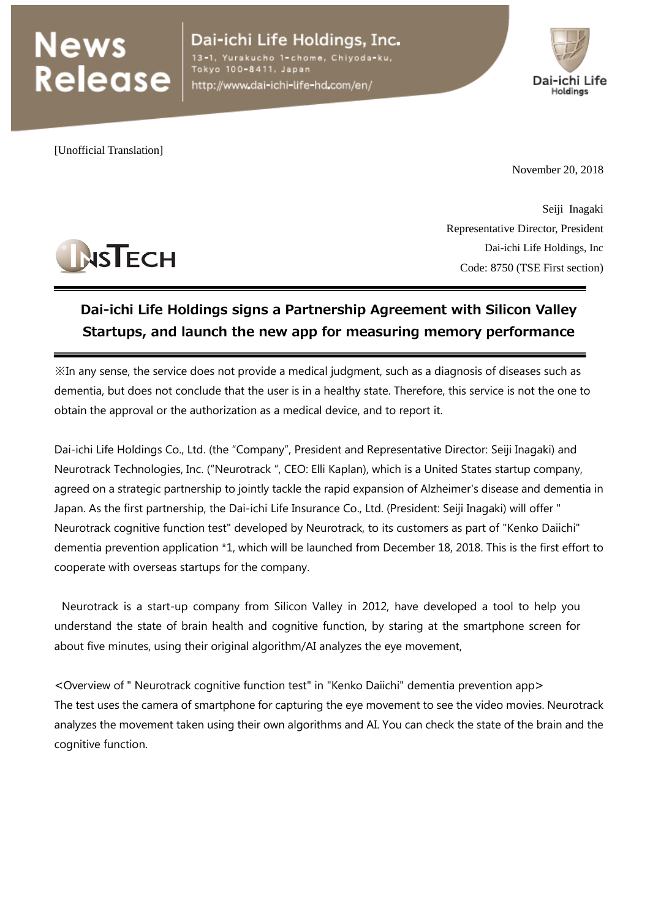## **News<br>Release**

Dai-ichi Life Holdings, Inc. l-chome, Chivoda-ku, Tokyo 100-8411, Japan

http://www.dai-ichi-life-hd.com/en/



[Unofficial Translation]

**NSTECH** 

November 20, 2018

Seiji Inagaki Representative Director, President Dai-ichi Life Holdings, Inc Code: 8750 (TSE First section)

## **Dai-ichi Life Holdings signs a Partnership Agreement with Silicon Valley Startups, and launch the new app for measuring memory performance**

※In any sense, the service does not provide a medical judgment, such as a diagnosis of diseases such as dementia, but does not conclude that the user is in a healthy state. Therefore, this service is not the one to obtain the approval or the authorization as a medical device, and to report it.

Dai-ichi Life Holdings Co., Ltd. (the "Company", President and Representative Director: Seiji Inagaki) and Neurotrack Technologies, Inc. ("Neurotrack ", CEO: Elli Kaplan), which is a United States startup company, agreed on a strategic partnership to jointly tackle the rapid expansion of Alzheimer's disease and dementia in Japan. As the first partnership, the Dai-ichi Life Insurance Co., Ltd. (President: Seiji Inagaki) will offer " Neurotrack cognitive function test" developed by Neurotrack, to its customers as part of "Kenko Daiichi" dementia prevention application \*1, which will be launched from December 18, 2018. This is the first effort to cooperate with overseas startups for the company.

Neurotrack is a start-up company from Silicon Valley in 2012, have developed a tool to help you understand the state of brain health and cognitive function, by staring at the smartphone screen for about five minutes, using their original algorithm/AI analyzes the eye movement,

<Overview of " Neurotrack cognitive function test" in "Kenko Daiichi" dementia prevention app> The test uses the camera of smartphone for capturing the eye movement to see the video movies. Neurotrack analyzes the movement taken using their own algorithms and AI. You can check the state of the brain and the cognitive function.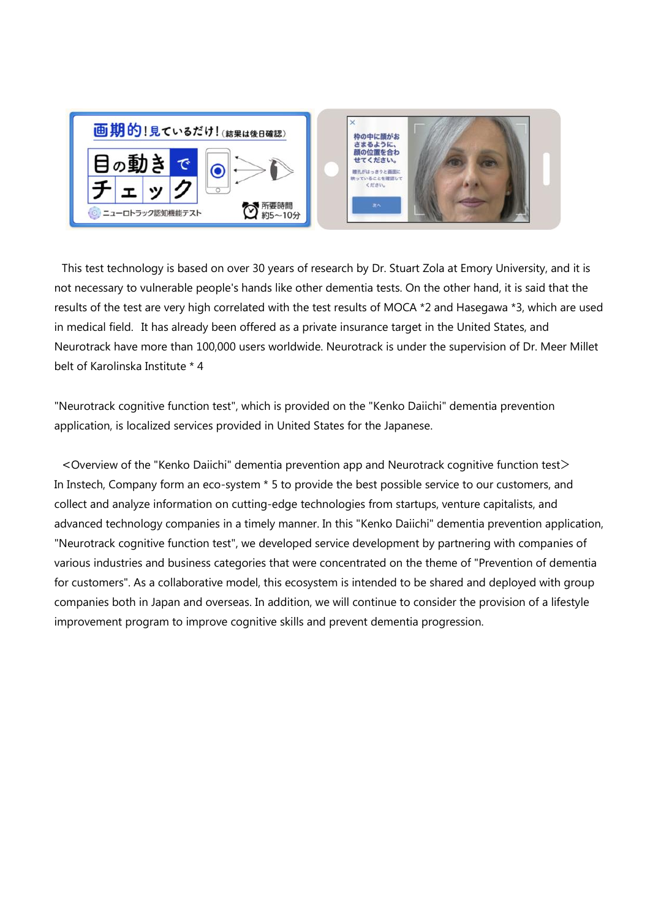

This test technology is based on over 30 years of research by Dr. Stuart Zola at Emory University, and it is not necessary to vulnerable people's hands like other dementia tests. On the other hand, it is said that the results of the test are very high correlated with the test results of MOCA \*2 and Hasegawa \*3, which are used in medical field. It has already been offered as a private insurance target in the United States, and Neurotrack have more than 100,000 users worldwide. Neurotrack is under the supervision of Dr. Meer Millet belt of Karolinska Institute \* 4

"Neurotrack cognitive function test", which is provided on the "Kenko Daiichi" dementia prevention application, is localized services provided in United States for the Japanese.

<Overview of the "Kenko Daiichi" dementia prevention app and Neurotrack cognitive function test> In Instech, Company form an eco-system \* 5 to provide the best possible service to our customers, and collect and analyze information on cutting-edge technologies from startups, venture capitalists, and advanced technology companies in a timely manner. In this "Kenko Daiichi" dementia prevention application, "Neurotrack cognitive function test", we developed service development by partnering with companies of various industries and business categories that were concentrated on the theme of "Prevention of dementia for customers". As a collaborative model, this ecosystem is intended to be shared and deployed with group companies both in Japan and overseas. In addition, we will continue to consider the provision of a lifestyle improvement program to improve cognitive skills and prevent dementia progression.